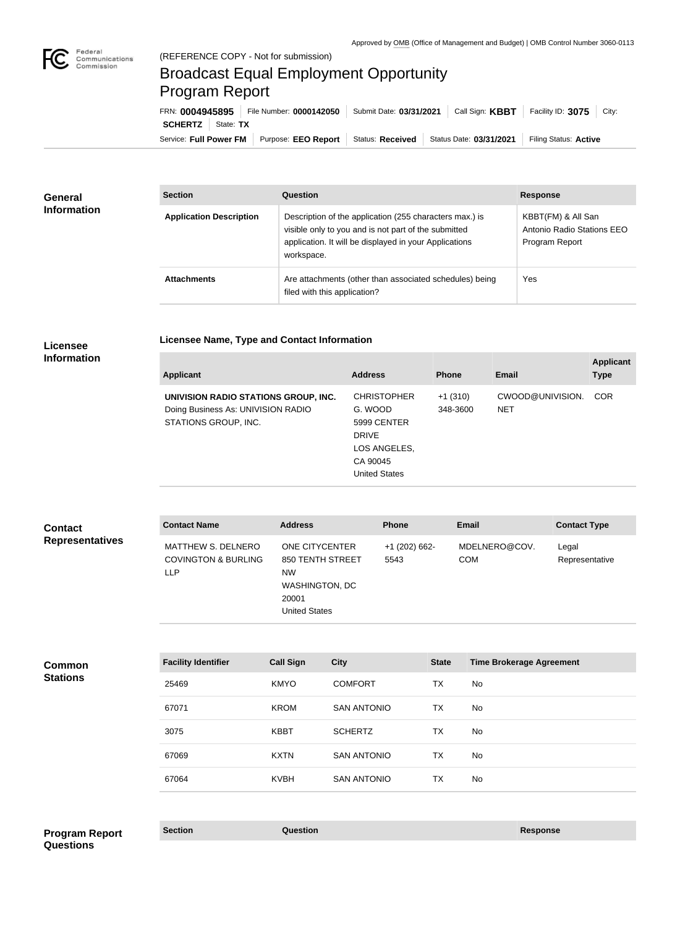

п

## Broadcast Equal Employment Opportunity Program Report

**Licensee Name, Type and Contact Information**

Service: Full Power FM Purpose: EEO Report | Status: Received | Status Date: 03/31/2021 | Filing Status: Active **SCHERTZ** | State: TX FRN: **0004945895** File Number: **0000142050** Submit Date: **03/31/2021** Call Sign: **KBBT** Facility ID: **3075** City:

| <b>General</b><br><b>Information</b> | <b>Section</b>                 | Question                                                                                                                                                                                | <b>Response</b>                                                    |
|--------------------------------------|--------------------------------|-----------------------------------------------------------------------------------------------------------------------------------------------------------------------------------------|--------------------------------------------------------------------|
|                                      | <b>Application Description</b> | Description of the application (255 characters max.) is<br>visible only to you and is not part of the submitted<br>application. It will be displayed in your Applications<br>workspace. | KBBT(FM) & All San<br>Antonio Radio Stations EEO<br>Program Report |
|                                      | <b>Attachments</b>             | Are attachments (other than associated schedules) being<br>filed with this application?                                                                                                 | Yes                                                                |

## **Licensee Information**

| <b>Applicant</b>                                                                                   | <b>Address</b>                                                                                            | <b>Phone</b>          | Email                          | <b>Applicant</b><br><b>Type</b> |
|----------------------------------------------------------------------------------------------------|-----------------------------------------------------------------------------------------------------------|-----------------------|--------------------------------|---------------------------------|
| UNIVISION RADIO STATIONS GROUP, INC.<br>Doing Business As: UNIVISION RADIO<br>STATIONS GROUP, INC. | <b>CHRISTOPHER</b><br>G. WOOD<br>5999 CENTER<br><b>DRIVE</b><br>LOS ANGELES,<br>CA 90045<br>United States | $+1(310)$<br>348-3600 | CWOOD@UNIVISION.<br><b>NET</b> | <b>COR</b>                      |

| <b>Contact</b>         | <b>Contact Name</b>                                                       | <b>Address</b>                                                                                            | <b>Phone</b>          | <b>Email</b>                | <b>Contact Type</b>     |
|------------------------|---------------------------------------------------------------------------|-----------------------------------------------------------------------------------------------------------|-----------------------|-----------------------------|-------------------------|
| <b>Representatives</b> | <b>MATTHEW S. DELNERO</b><br><b>COVINGTON &amp; BURLING</b><br><b>LLP</b> | ONE CITYCENTER<br>850 TENTH STREET<br><b>NW</b><br><b>WASHINGTON, DC</b><br>20001<br><b>United States</b> | +1 (202) 662-<br>5543 | MDELNERO@COV.<br><b>COM</b> | Legal<br>Representative |

| <b>Common</b>   | <b>Facility Identifier</b> | <b>Call Sign</b> | <b>City</b>        | <b>State</b> | <b>Time Brokerage Agreement</b> |
|-----------------|----------------------------|------------------|--------------------|--------------|---------------------------------|
| <b>Stations</b> | 25469                      | <b>KMYO</b>      | <b>COMFORT</b>     | <b>TX</b>    | No                              |
|                 | 67071                      | <b>KROM</b>      | <b>SAN ANTONIO</b> | <b>TX</b>    | No                              |
|                 | 3075                       | <b>KBBT</b>      | <b>SCHERTZ</b>     | <b>TX</b>    | No                              |
|                 | 67069                      | <b>KXTN</b>      | <b>SAN ANTONIO</b> | <b>TX</b>    | No                              |
|                 | 67064                      | <b>KVBH</b>      | <b>SAN ANTONIO</b> | <b>TX</b>    | No                              |
|                 |                            |                  |                    |              |                                 |

**Section Question Response Program Report Questions**